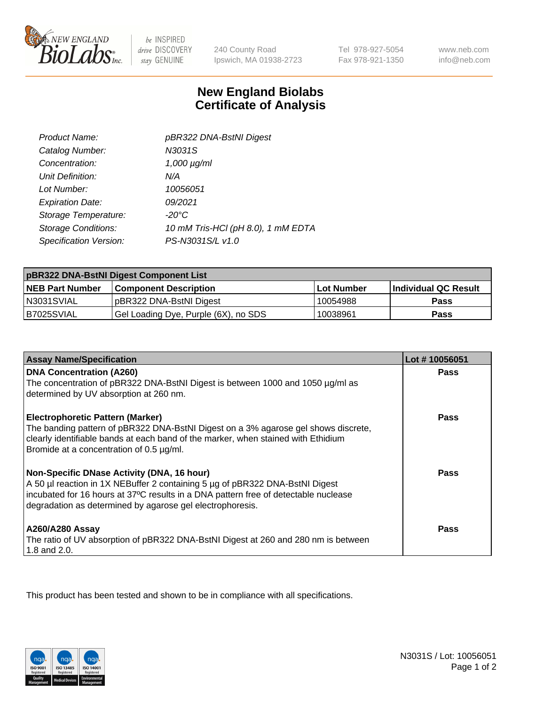

be INSPIRED drive DISCOVERY stay GENUINE

240 County Road Ipswich, MA 01938-2723 Tel 978-927-5054 Fax 978-921-1350

www.neb.com info@neb.com

## **New England Biolabs Certificate of Analysis**

| Product Name:              | pBR322 DNA-BstNI Digest            |
|----------------------------|------------------------------------|
| Catalog Number:            | N3031S                             |
| Concentration:             | $1,000 \mu g/ml$                   |
| Unit Definition:           | N/A                                |
| Lot Number:                | 10056051                           |
| <b>Expiration Date:</b>    | 09/2021                            |
| Storage Temperature:       | $-20^{\circ}$ C                    |
| <b>Storage Conditions:</b> | 10 mM Tris-HCl (pH 8.0), 1 mM EDTA |
| Specification Version:     | PS-N3031S/L v1.0                   |

| pBR322 DNA-BstNI Digest Component List |                                      |                   |                      |  |
|----------------------------------------|--------------------------------------|-------------------|----------------------|--|
| <b>NEB Part Number</b>                 | <b>Component Description</b>         | <b>Lot Number</b> | Individual QC Result |  |
| IN3031SVIAL                            | pBR322 DNA-BstNI Digest              | 10054988          | Pass                 |  |
| I B7025SVIAL                           | Gel Loading Dye, Purple (6X), no SDS | 10038961          | <b>Pass</b>          |  |

| <b>Assay Name/Specification</b>                                                                                               | Lot #10056051 |
|-------------------------------------------------------------------------------------------------------------------------------|---------------|
| <b>DNA Concentration (A260)</b><br>The concentration of pBR322 DNA-BstNI Digest is between 1000 and 1050 µg/ml as             | <b>Pass</b>   |
| determined by UV absorption at 260 nm.                                                                                        |               |
| <b>Electrophoretic Pattern (Marker)</b>                                                                                       | Pass          |
| The banding pattern of pBR322 DNA-BstNI Digest on a 3% agarose gel shows discrete,                                            |               |
| clearly identifiable bands at each band of the marker, when stained with Ethidium<br>Bromide at a concentration of 0.5 µg/ml. |               |
|                                                                                                                               |               |
| Non-Specific DNase Activity (DNA, 16 hour)                                                                                    | <b>Pass</b>   |
| A 50 µl reaction in 1X NEBuffer 2 containing 5 µg of pBR322 DNA-BstNI Digest                                                  |               |
| incubated for 16 hours at 37°C results in a DNA pattern free of detectable nuclease                                           |               |
| degradation as determined by agarose gel electrophoresis.                                                                     |               |
| <b>A260/A280 Assay</b>                                                                                                        | Pass          |
| The ratio of UV absorption of pBR322 DNA-BstNI Digest at 260 and 280 nm is between                                            |               |
| 1.8 and 2.0.                                                                                                                  |               |

This product has been tested and shown to be in compliance with all specifications.